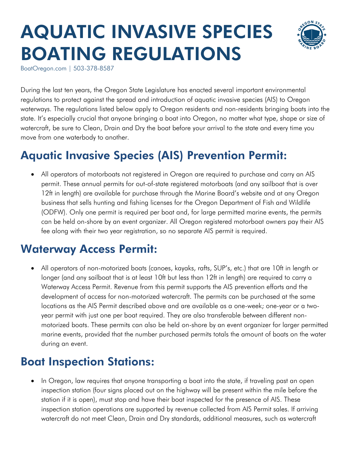# AQUATIC INVASIVE SPECIES BOATING REGULATIONS



BoatOregon.com | 503-378-8587

During the last ten years, the Oregon State Legislature has enacted several important environmental regulations to protect against the spread and introduction of aquatic invasive species (AIS) to Oregon waterways. The regulations listed below apply to Oregon residents and non-residents bringing boats into the state. It's especially crucial that anyone bringing a boat into Oregon, no matter what type, shape or size of watercraft, be sure to Clean, Drain and Dry the boat before your arrival to the state and every time you move from one waterbody to another.

## Aquatic Invasive Species (AIS) Prevention Permit:

 All operators of motorboats not registered in Oregon are required to purchase and carry an AIS permit. These annual permits for out-of-state registered motorboats (and any sailboat that is over 12ft in length) are available for purchase through the Marine Board's website and at any Oregon business that sells hunting and fishing licenses for the Oregon Department of Fish and Wildlife (ODFW). Only one permit is required per boat and, for large permitted marine events, the permits can be held on-shore by an event organizer. All Oregon registered motorboat owners pay their AIS fee along with their two year registration, so no separate AIS permit is required.

#### Waterway Access Permit:

 All operators of non-motorized boats (canoes, kayaks, rafts, SUP's, etc.) that are 10ft in length or longer (and any sailboat that is at least 10ft but less than 12ft in length) are required to carry a Waterway Access Permit. Revenue from this permit supports the AIS prevention efforts and the development of access for non-motorized watercraft. The permits can be purchased at the same locations as the AIS Permit described above and are available as a one-week; one-year or a twoyear permit with just one per boat required. They are also transferable between different nonmotorized boats. These permits can also be held on-shore by an event organizer for larger permitted marine events, provided that the number purchased permits totals the amount of boats on the water during an event.

#### Boat Inspection Stations:

 In Oregon, law requires that anyone transporting a boat into the state, if traveling past an open inspection station (four signs placed out on the highway will be present within the mile before the station if it is open), must stop and have their boat inspected for the presence of AIS. These inspection station operations are supported by revenue collected from AIS Permit sales. If arriving watercraft do not meet Clean, Drain and Dry standards, additional measures, such as watercraft